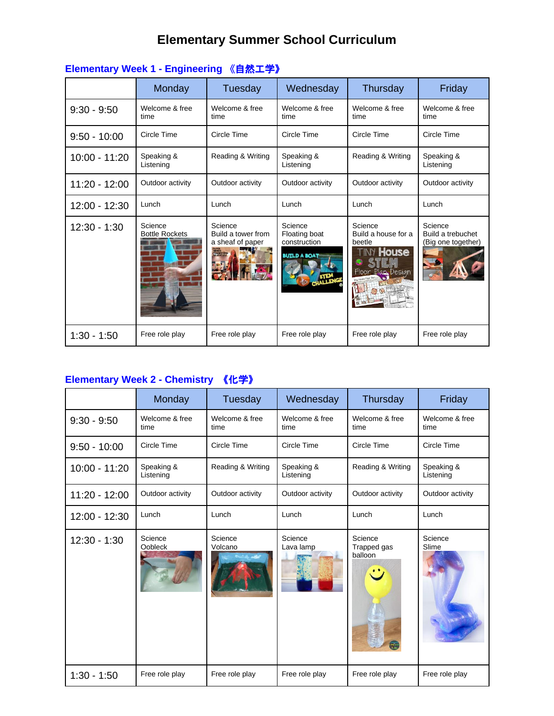# **Elementary Summer School Curriculum**

|                | Monday                           | Tuesday                                                                                | Wednesday                                                       | Thursday                                                                          | Friday                                             |
|----------------|----------------------------------|----------------------------------------------------------------------------------------|-----------------------------------------------------------------|-----------------------------------------------------------------------------------|----------------------------------------------------|
| $9:30 - 9:50$  | Welcome & free<br>time           | Welcome & free<br>time                                                                 | Welcome & free<br>time                                          | Welcome & free<br>time                                                            | Welcome & free<br>time                             |
| $9:50 - 10:00$ | Circle Time                      | Circle Time                                                                            | Circle Time                                                     | Circle Time                                                                       | Circle Time                                        |
| 10:00 - 11:20  | Speaking &<br>Listening          | Reading & Writing                                                                      | Speaking &<br>Listening                                         | Reading & Writing                                                                 | Speaking &<br>Listening                            |
| 11:20 - 12:00  | Outdoor activity                 | Outdoor activity                                                                       | Outdoor activity                                                | Outdoor activity                                                                  | Outdoor activity                                   |
| 12:00 - 12:30  | Lunch                            | Lunch                                                                                  | Lunch                                                           | Lunch                                                                             | Lunch                                              |
| $12:30 - 1:30$ | Science<br><b>Bottle Rockets</b> | Science<br>Build a tower from<br>a sheaf of paper<br>TOWER<br>ENGINEERING<br>ADVENTURE | Science<br>Floating boat<br>construction<br><b>BUTLD A BOAT</b> | Science<br>Build a house for a<br>beetle<br><b>INY House</b><br>Floor Plan Design | Science<br>Build a trebuchet<br>(Big one together) |
| $1:30 - 1:50$  | Free role play                   | Free role play                                                                         | Free role play                                                  | Free role play                                                                    | Free role play                                     |

### **Elementary Week 1 - Engineering** 《自然工学》

## **Elementary Week 2 - Chemistry** 《化学》

|                 | Monday                    | Tuesday                | Wednesday               | Thursday                          | Friday                  |
|-----------------|---------------------------|------------------------|-------------------------|-----------------------------------|-------------------------|
| $9:30 - 9:50$   | Welcome & free<br>time    | Welcome & free<br>time | Welcome & free<br>time  | Welcome & free<br>time            | Welcome & free<br>time  |
| $9:50 - 10:00$  | Circle Time               | Circle Time            | Circle Time             | Circle Time                       | Circle Time             |
| $10:00 - 11:20$ | Speaking &<br>Listening   | Reading & Writing      | Speaking &<br>Listening | Reading & Writing                 | Speaking &<br>Listening |
| 11:20 - 12:00   | Outdoor activity          | Outdoor activity       | Outdoor activity        | Outdoor activity                  | Outdoor activity        |
| 12:00 - 12:30   | Lunch                     | Lunch                  | Lunch                   | Lunch                             | Lunch                   |
| $12:30 - 1:30$  | Science<br><b>Oobleck</b> | Science<br>Volcano     | Science<br>Lava lamp    | Science<br>Trapped gas<br>balloon | Science<br>Slime        |
| $1:30 - 1:50$   | Free role play            | Free role play         | Free role play          | Free role play                    | Free role play          |